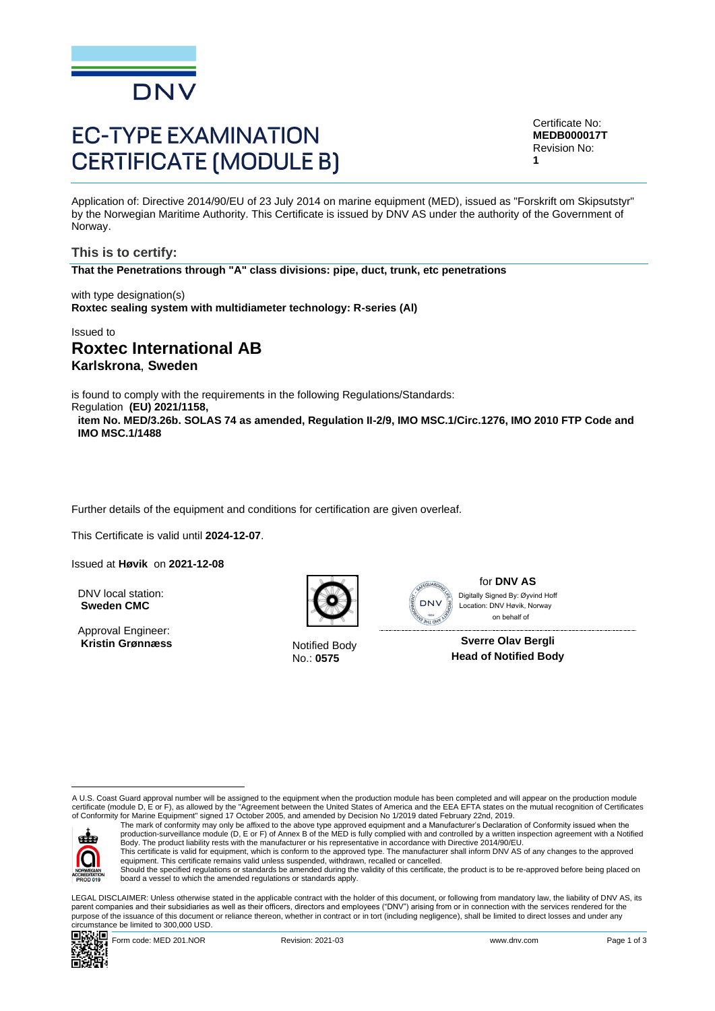

# **EC-TYPE EXAMINATION CERTIFICATE (MODULE B)**

Certificate No: **MEDB000017T** Revision No: **1**

Application of: Directive 2014/90/EU of 23 July 2014 on marine equipment (MED), issued as "Forskrift om Skipsutstyr" by the Norwegian Maritime Authority. This Certificate is issued by DNV AS under the authority of the Government of Norway.

**This is to certify: That the Penetrations through "A" class divisions: pipe, duct, trunk, etc penetrations**

with type designation(s) **Roxtec sealing system with multidiameter technology: R-series (Al)**

Issued to

# **Roxtec International AB Karlskrona**, **Sweden**

is found to comply with the requirements in the following Regulations/Standards:

Regulation **(EU) 2021/1158, item No. MED/3.26b. SOLAS 74 as amended, Regulation II-2/9, IMO MSC.1/Circ.1276, IMO 2010 FTP Code and IMO MSC.1/1488**

Further details of the equipment and conditions for certification are given overleaf.

This Certificate is valid until **2024-12-07**.

Issued at **Høvik** on **2021-12-08**

DNV local station: **Sweden CMC**

Approval Engineer: Kristin Grønnæss Notified Body



No.: **0575**



for **DNV AS** on behalf ofDigitally Signed By: Øyvind Hoff Location: DNV Høvik, Norway

**Sverre Olav Bergli Head of Notified Body**

A U.S. Coast Guard approval number will be assigned to the equipment when the production module has been completed and will appear on the production module certificate (module D, E or F), as allowed by the "Agreement between the United States of America and the EEA EFTA states on the mutual recognition of Certificates<br>of Conformity for Marine Equipment" signed 17 October 2005



The mark of conformity may only be affixed to the above type approved equipment and a Manufacturer's Declaration of Conformity issued when the<br>production-surveillance module (D, E or F) of Annex B of the MED is fully compl Body. The product liability rests with the manufacturer or his representative in accordance with Directive 2014/90/EU.

This certificate is valid for equipment, which is conform to the approved type. The manufacturer shall inform DNV AS of any changes to the approved<br>equipment. This certificate remains valid unless suspended, withdrawn, rec Should the specified regulations or standards be amended during the validity of this certificate, the product is to be re-approved before being placed on

board a vessel to which the amended regulations or standards apply.

LEGAL DISCLAIMER: Unless otherwise stated in the applicable contract with the holder of this document, or following from mandatory law, the liability of DNV AS, its parent companies and their subsidiaries as well as their officers, directors and employees ("DNV") arising from or in connection with the services rendered for the purpose of the issuance of this document or reliance thereon, whether in contract or in tort (including negligence), shall be limited to direct losses and under any circumstance be limited to 300,000 USD.

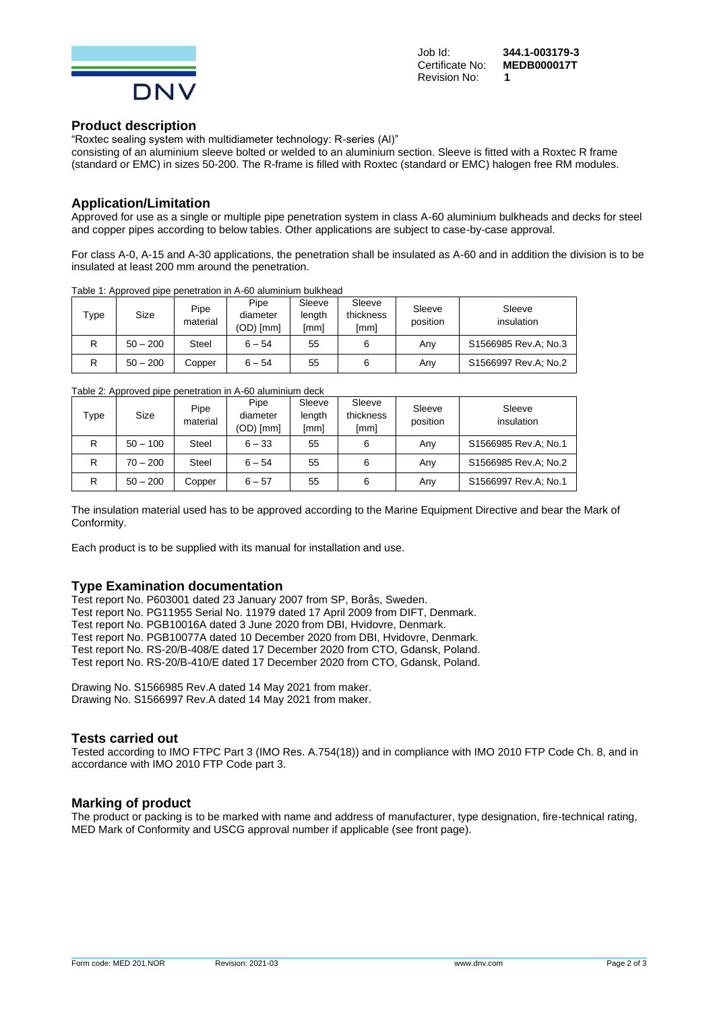

Job Id: **344.1-003179-3 Certificate No:** Revision No: **1**

#### **Product description**

"Roxtec sealing system with multidiameter technology: R-series (Al)"

consisting of an aluminium sleeve bolted or welded to an aluminium section. Sleeve is fitted with a Roxtec R frame (standard or EMC) in sizes 50-200. The R-frame is filled with Roxtec (standard or EMC) halogen free RM modules.

#### **Application/Limitation**

Approved for use as a single or multiple pipe penetration system in class A-60 aluminium bulkheads and decks for steel and copper pipes according to below tables. Other applications are subject to case-by-case approval.

For class A-0, A-15 and A-30 applications, the penetration shall be insulated as A-60 and in addition the division is to be insulated at least 200 mm around the penetration.

| $\tau_\mathsf{VDE}$ | Size       | Pipe<br>material | Pipe<br>diameter<br>$(OD)$ [mm] | Sleeve<br>lenath<br>[mm] | Sleeve<br>thickness<br>[mm] | Sleeve<br>position | Sleeve<br>insulation |  |  |  |
|---------------------|------------|------------------|---------------------------------|--------------------------|-----------------------------|--------------------|----------------------|--|--|--|
|                     | $50 - 200$ | Steel            | $6 - 54$                        | 55                       |                             | Anv                | S1566985 Rev.A: No.3 |  |  |  |
| R                   | $50 - 200$ | Copper           | $6 - 54$                        | 55                       |                             | Anv                | S1566997 Rev.A: No.2 |  |  |  |

Table 1: Approved pipe penetration in A-60 aluminium bulkhead

Table 2: Approved pipe penetration in A-60 aluminium deck

| Type | Size       | Pipe<br>material | Pipe<br>diameter<br>(OD) [mm] | Sleeve<br>length<br>[mm] | Sleeve<br>thickness<br>[mm] | Sleeve<br>position | Sleeve<br>insulation |
|------|------------|------------------|-------------------------------|--------------------------|-----------------------------|--------------------|----------------------|
| R    | $50 - 100$ | Steel            | $6 - 33$                      | 55                       | 6                           | Anv                | S1566985 Rev.A; No.1 |
| R    | $70 - 200$ | Steel            | $6 - 54$                      | 55                       | 6                           | Anv                | S1566985 Rev.A; No.2 |
| R    | $50 - 200$ | Copper           | $6 - 57$                      | 55                       | 6                           | Any                | S1566997 Rev.A; No.1 |

The insulation material used has to be approved according to the Marine Equipment Directive and bear the Mark of Conformity.

Each product is to be supplied with its manual for installation and use.

#### **Type Examination documentation**

Test report No. P603001 dated 23 January 2007 from SP, Borås, Sweden. Test report No. PG11955 Serial No. 11979 dated 17 April 2009 from DIFT, Denmark. Test report No. PGB10016A dated 3 June 2020 from DBI, Hvidovre, Denmark. Test report No. PGB10077A dated 10 December 2020 from DBI, Hvidovre, Denmark. Test report No. RS-20/B-408/E dated 17 December 2020 from CTO, Gdansk, Poland. Test report No. RS-20/B-410/E dated 17 December 2020 from CTO, Gdansk, Poland.

Drawing No. S1566985 Rev.A dated 14 May 2021 from maker. Drawing No. S1566997 Rev.A dated 14 May 2021 from maker.

#### **Tests carried out**

Tested according to IMO FTPC Part 3 (IMO Res. A.754(18)) and in compliance with IMO 2010 FTP Code Ch. 8, and in accordance with IMO 2010 FTP Code part 3.

#### **Marking of product**

The product or packing is to be marked with name and address of manufacturer, type designation, fire-technical rating, MED Mark of Conformity and USCG approval number if applicable (see front page).